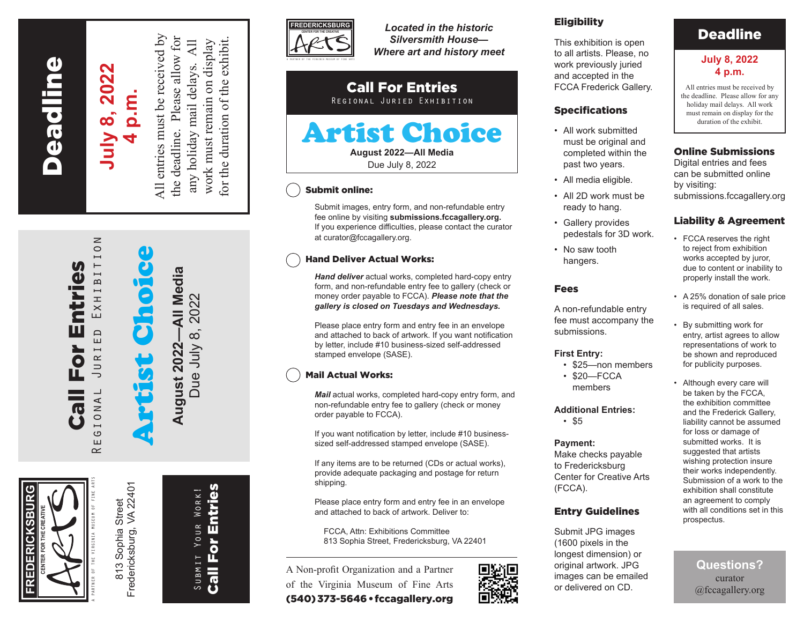**Peadline** Fredericksburg Deadline

# **July 8, 2022** July 8, 2022 **4 p.m.**

 $\geq$ 

EXHIBITIO

 $\overline{E}$ 

R I  $\overline{\phantom{0}}$  $\bar{=}$  $\overline{\phantom{0}}$ 

**ANOI** 

 $\circ$ ш  $\approx$  All entries must be received by  $\overline{A}$ any holiday mail delays. All work must remain on display

All entries must be received by the deadline. Please allow for for the duration of the exhibit. the deadline. Please allow for work must remain on display for the duration of the exhibit. any holiday mail delays.

Artist Choice August 2022-All Media **August 2022—All Media** Due July 8, 2022 Due July 8, 2022

Fredericksburg, VA 22401 Fredericksburg, VA 22401 Sophia Street 813 Sophia Street  $813$ 

A PARTNER OF THE VIRGINIA MUSEUM OF FINE ARTS

Call For Entries Regional Juried Exhibition

Eor

 $\overline{\mathbf{C}}$  $\bullet$  1

Entries

**FREDERICKSBURG**

EDERICKSBUR

**CENTER FOR THE CREATIVE**

**Call For Entries** Call For Entries SUBMIT YOUR WORK! Submit Your Work!



*Located in the historic Silversmith House— Where art and history meet*

#### Call For Entries Regional Juried Exhibition

## Artist Choice **August 2022—All Media**

Due July 8, 2022

#### Submit online:

Submit images, entry form, and non-refundable entry fee online by visiting **submissions.fccagallery.org.** If you experience difficulties, please contact the curator at curator@fccagallery.org.

#### Hand Deliver Actual Works:

*Hand deliver* actual works, completed hard-copy entry form, and non-refundable entry fee to gallery (check or money order payable to FCCA). *Please note that the gallery is closed on Tuesdays and Wednesdays.*

Please place entry form and entry fee in an envelope and attached to back of artwork. If you want notification by letter, include #10 business-sized self-addressed stamped envelope (SASE).

### Mail Actual Works:

*Mail* actual works, completed hard-copy entry form, and non-refundable entry fee to gallery (check or money order payable to FCCA).

If you want notification by letter, include #10 businesssized self-addressed stamped envelope (SASE).

If any items are to be returned (CDs or actual works), provide adequate packaging and postage for return shipping.

Please place entry form and entry fee in an envelope and attached to back of artwork. Deliver to:

FCCA, Attn: Exhibitions Committee 813 Sophia Street, Fredericksburg, VA 22401

A Non-profit Organization and a Partner of the Virginia Museum of Fine Arts (540) 373-5646 • fccagallery.org



#### **Eligibility**

This exhibition is open to all artists. Please, no work previously juried and accepted in the FCCA Frederick Gallery.

#### Specifications

- All work submitted must be original and completed within the past two years.
- All media eligible.
- All 2D work must be ready to hang.
- Gallery provides pedestals for 3D work.
- No saw tooth hangers.

#### Fees

A non-refundable entry fee must accompany the submissions.

#### **First Entry:**

- \$25—non members
- \$20—FCCA members

#### **Additional Entries:**

• \$5

#### **Payment:**

Make checks payable to Fredericksburg Center for Creative Arts (FCCA).

#### Entry Guidelines

Submit JPG images (1600 pixels in the longest dimension) or original artwork. JPG images can be emailed or delivered on CD.

## Deadline

#### **July 8, 2022 4 p.m.**

All entries must be received by the deadline. Please allow for any holiday mail delays. All work must remain on display for the duration of the exhibit.

#### Online Submissions

Digital entries and fees can be submitted online by visiting: submissions.fccagallery.org

#### Liability & Agreement

- FCCA reserves the right to reject from exhibition works accepted by juror, due to content or inability to properly install the work.
- A 25% donation of sale price is required of all sales.
- By submitting work for entry, artist agrees to allow representations of work to be shown and reproduced for publicity purposes.
- Although every care will be taken by the FCCA, the exhibition committee and the Frederick Gallery, liability cannot be assumed for loss or damage of submitted works. It is suggested that artists wishing protection insure their works independently. Submission of a work to the exhibition shall constitute an agreement to comply with all conditions set in this prospectus.

**Questions?**  curator @fccagallery.org